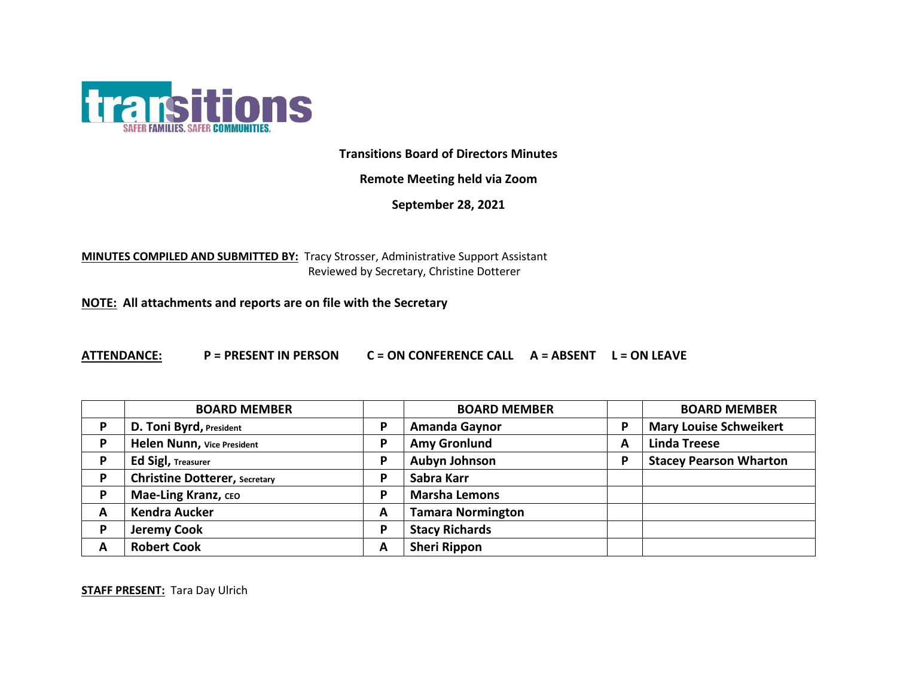

**Transitions Board of Directors Minutes**

**Remote Meeting held via Zoom**

**September 28, 2021**

**MINUTES COMPILED AND SUBMITTED BY:** Tracy Strosser, Administrative Support Assistant Reviewed by Secretary, Christine Dotterer

**NOTE: All attachments and reports are on file with the Secretary**

**ATTENDANCE: P = PRESENT IN PERSON C = ON CONFERENCE CALL A = ABSENT L = ON LEAVE**

|   | <b>BOARD MEMBER</b>                  |   | <b>BOARD MEMBER</b>      |   | <b>BOARD MEMBER</b>           |
|---|--------------------------------------|---|--------------------------|---|-------------------------------|
| D | D. Toni Byrd, President              | P | <b>Amanda Gaynor</b>     | P | <b>Mary Louise Schweikert</b> |
| D | Helen Nunn, Vice President           | P | <b>Amy Gronlund</b>      | A | <b>Linda Treese</b>           |
| D | <b>Ed Sigl, Treasurer</b>            | P | <b>Aubyn Johnson</b>     | P | <b>Stacey Pearson Wharton</b> |
| D | <b>Christine Dotterer, Secretary</b> | P | Sabra Karr               |   |                               |
| D | Mae-Ling Kranz, CEO                  | P | <b>Marsha Lemons</b>     |   |                               |
| A | <b>Kendra Aucker</b>                 | A | <b>Tamara Normington</b> |   |                               |
| D | <b>Jeremy Cook</b>                   | P | <b>Stacy Richards</b>    |   |                               |
| А | <b>Robert Cook</b>                   | A | <b>Sheri Rippon</b>      |   |                               |

**STAFF PRESENT:** Tara Day Ulrich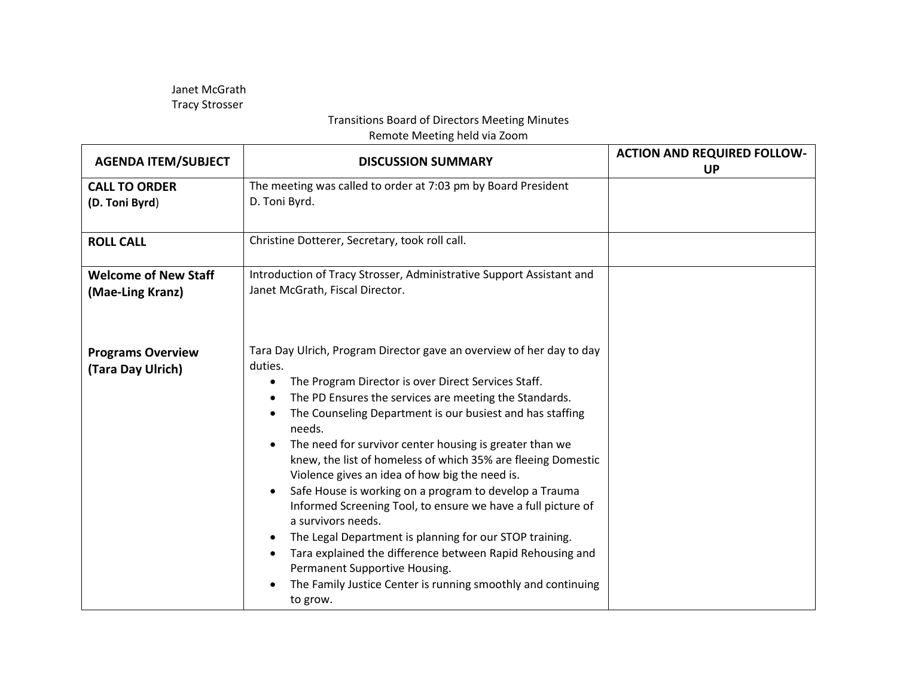Janet McGrath Tracy Strosser

## Transitions Board of Directors Meeting Minutes

Remote Meeting held via Zoom

| <b>AGENDA ITEM/SUBJECT</b>                      | <b>DISCUSSION SUMMARY</b>                                                                                                                                                                                                                                                                                                                                                                                                                                                                                                                                                                                                                                                                                                                                                                                                                                                                                               | <b>ACTION AND REQUIRED FOLLOW-</b><br><b>UP</b> |
|-------------------------------------------------|-------------------------------------------------------------------------------------------------------------------------------------------------------------------------------------------------------------------------------------------------------------------------------------------------------------------------------------------------------------------------------------------------------------------------------------------------------------------------------------------------------------------------------------------------------------------------------------------------------------------------------------------------------------------------------------------------------------------------------------------------------------------------------------------------------------------------------------------------------------------------------------------------------------------------|-------------------------------------------------|
| <b>CALL TO ORDER</b><br>(D. Toni Byrd)          | The meeting was called to order at 7:03 pm by Board President<br>D. Toni Byrd.                                                                                                                                                                                                                                                                                                                                                                                                                                                                                                                                                                                                                                                                                                                                                                                                                                          |                                                 |
| <b>ROLL CALL</b>                                | Christine Dotterer, Secretary, took roll call.                                                                                                                                                                                                                                                                                                                                                                                                                                                                                                                                                                                                                                                                                                                                                                                                                                                                          |                                                 |
| <b>Welcome of New Staff</b><br>(Mae-Ling Kranz) | Introduction of Tracy Strosser, Administrative Support Assistant and<br>Janet McGrath, Fiscal Director.                                                                                                                                                                                                                                                                                                                                                                                                                                                                                                                                                                                                                                                                                                                                                                                                                 |                                                 |
| <b>Programs Overview</b><br>(Tara Day Ulrich)   | Tara Day Ulrich, Program Director gave an overview of her day to day<br>duties.<br>The Program Director is over Direct Services Staff.<br>$\bullet$<br>The PD Ensures the services are meeting the Standards.<br>$\bullet$<br>The Counseling Department is our busiest and has staffing<br>$\bullet$<br>needs.<br>The need for survivor center housing is greater than we<br>$\bullet$<br>knew, the list of homeless of which 35% are fleeing Domestic<br>Violence gives an idea of how big the need is.<br>Safe House is working on a program to develop a Trauma<br>$\bullet$<br>Informed Screening Tool, to ensure we have a full picture of<br>a survivors needs.<br>The Legal Department is planning for our STOP training.<br>$\bullet$<br>Tara explained the difference between Rapid Rehousing and<br>Permanent Supportive Housing.<br>The Family Justice Center is running smoothly and continuing<br>to grow. |                                                 |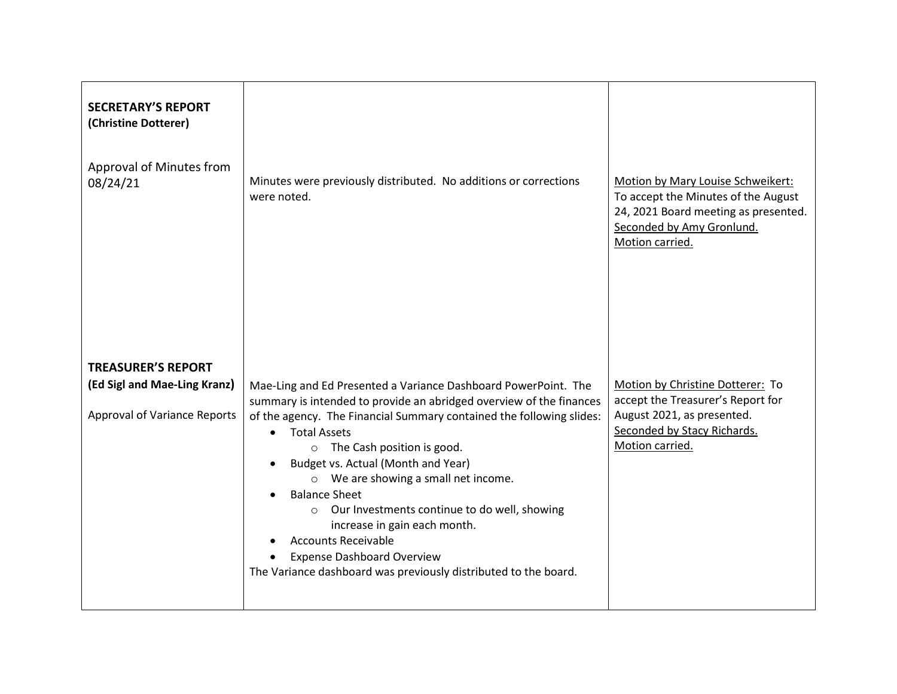| <b>SECRETARY'S REPORT</b><br>(Christine Dotterer)<br>Approval of Minutes from<br>08/24/21        | Minutes were previously distributed. No additions or corrections<br>were noted.                                                                                                                                                                                                                                                                                                                                                                                                                                                                                                                                              | Motion by Mary Louise Schweikert:<br>To accept the Minutes of the August<br>24, 2021 Board meeting as presented.<br>Seconded by Amy Gronlund.<br>Motion carried. |
|--------------------------------------------------------------------------------------------------|------------------------------------------------------------------------------------------------------------------------------------------------------------------------------------------------------------------------------------------------------------------------------------------------------------------------------------------------------------------------------------------------------------------------------------------------------------------------------------------------------------------------------------------------------------------------------------------------------------------------------|------------------------------------------------------------------------------------------------------------------------------------------------------------------|
| <b>TREASURER'S REPORT</b><br>(Ed Sigl and Mae-Ling Kranz)<br><b>Approval of Variance Reports</b> | Mae-Ling and Ed Presented a Variance Dashboard PowerPoint. The<br>summary is intended to provide an abridged overview of the finances<br>of the agency. The Financial Summary contained the following slides:<br><b>Total Assets</b><br>$\bullet$<br>o The Cash position is good.<br>Budget vs. Actual (Month and Year)<br>o We are showing a small net income.<br><b>Balance Sheet</b><br>$\bullet$<br>o Our Investments continue to do well, showing<br>increase in gain each month.<br><b>Accounts Receivable</b><br><b>Expense Dashboard Overview</b><br>The Variance dashboard was previously distributed to the board. | Motion by Christine Dotterer: To<br>accept the Treasurer's Report for<br>August 2021, as presented.<br>Seconded by Stacy Richards.<br>Motion carried.            |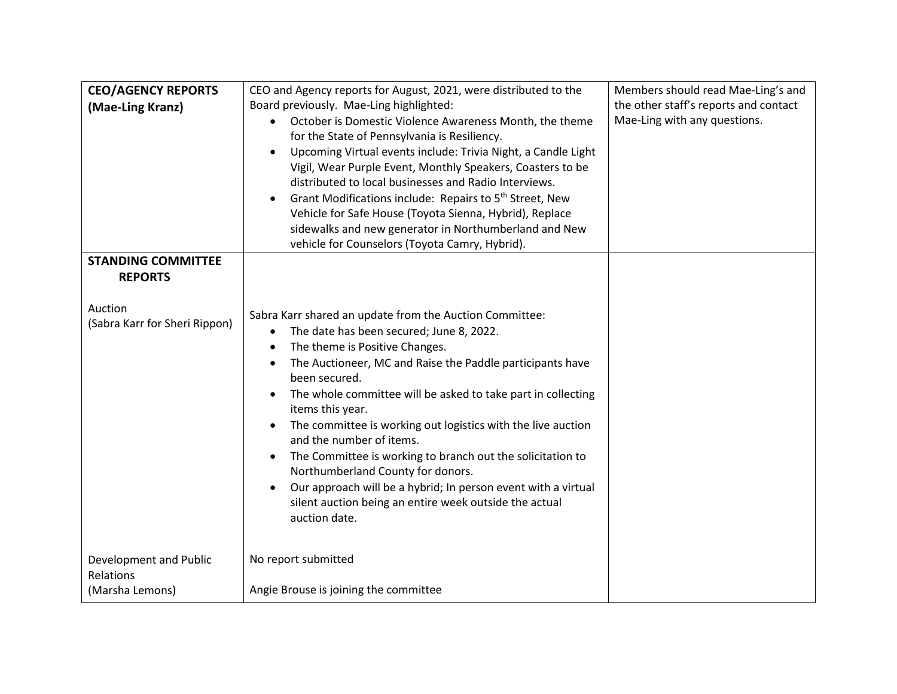| <b>CEO/AGENCY REPORTS</b><br>(Mae-Ling Kranz)                                           | CEO and Agency reports for August, 2021, were distributed to the<br>Board previously. Mae-Ling highlighted:<br>October is Domestic Violence Awareness Month, the theme<br>for the State of Pennsylvania is Resiliency.<br>Upcoming Virtual events include: Trivia Night, a Candle Light<br>$\bullet$<br>Vigil, Wear Purple Event, Monthly Speakers, Coasters to be<br>distributed to local businesses and Radio Interviews.<br>Grant Modifications include: Repairs to 5 <sup>th</sup> Street, New<br>Vehicle for Safe House (Toyota Sienna, Hybrid), Replace<br>sidewalks and new generator in Northumberland and New<br>vehicle for Counselors (Toyota Camry, Hybrid).                               | Members should read Mae-Ling's and<br>the other staff's reports and contact<br>Mae-Ling with any questions. |
|-----------------------------------------------------------------------------------------|--------------------------------------------------------------------------------------------------------------------------------------------------------------------------------------------------------------------------------------------------------------------------------------------------------------------------------------------------------------------------------------------------------------------------------------------------------------------------------------------------------------------------------------------------------------------------------------------------------------------------------------------------------------------------------------------------------|-------------------------------------------------------------------------------------------------------------|
| <b>STANDING COMMITTEE</b><br><b>REPORTS</b><br>Auction<br>(Sabra Karr for Sheri Rippon) | Sabra Karr shared an update from the Auction Committee:<br>The date has been secured; June 8, 2022.<br>$\bullet$<br>The theme is Positive Changes.<br>$\bullet$<br>The Auctioneer, MC and Raise the Paddle participants have<br>$\bullet$<br>been secured.<br>The whole committee will be asked to take part in collecting<br>items this year.<br>The committee is working out logistics with the live auction<br>$\bullet$<br>and the number of items.<br>The Committee is working to branch out the solicitation to<br>Northumberland County for donors.<br>Our approach will be a hybrid; In person event with a virtual<br>silent auction being an entire week outside the actual<br>auction date. |                                                                                                             |
| Development and Public<br>Relations<br>(Marsha Lemons)                                  | No report submitted<br>Angie Brouse is joining the committee                                                                                                                                                                                                                                                                                                                                                                                                                                                                                                                                                                                                                                           |                                                                                                             |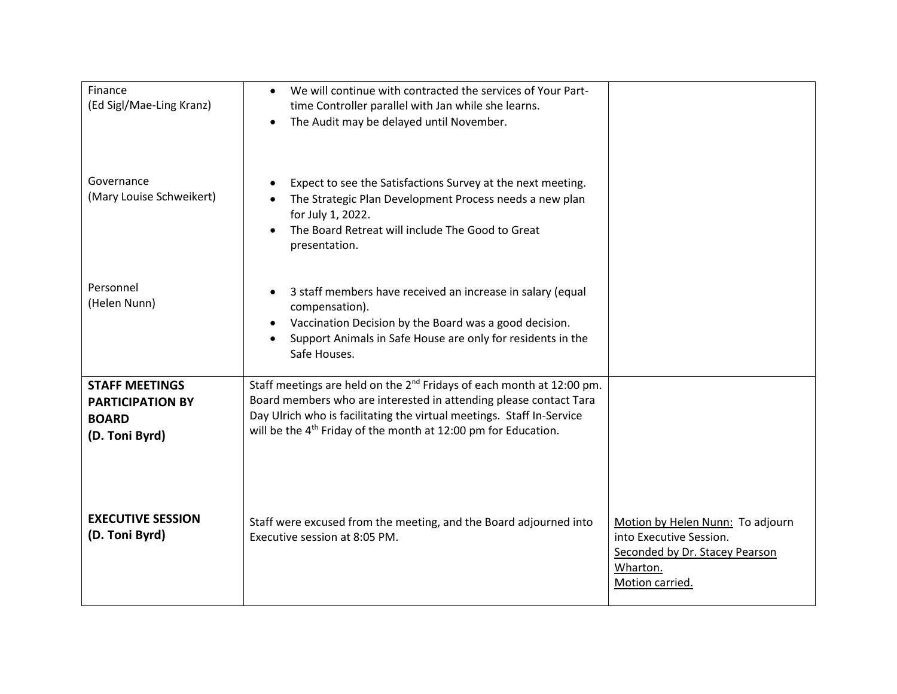| Finance<br>(Ed Sigl/Mae-Ling Kranz)                                                | We will continue with contracted the services of Your Part-<br>$\bullet$<br>time Controller parallel with Jan while she learns.<br>The Audit may be delayed until November.<br>$\bullet$                                                                                                                 |                                                                                                                              |
|------------------------------------------------------------------------------------|----------------------------------------------------------------------------------------------------------------------------------------------------------------------------------------------------------------------------------------------------------------------------------------------------------|------------------------------------------------------------------------------------------------------------------------------|
| Governance<br>(Mary Louise Schweikert)                                             | Expect to see the Satisfactions Survey at the next meeting.<br>$\bullet$<br>The Strategic Plan Development Process needs a new plan<br>for July 1, 2022.<br>The Board Retreat will include The Good to Great<br>presentation.                                                                            |                                                                                                                              |
| Personnel<br>(Helen Nunn)                                                          | 3 staff members have received an increase in salary (equal<br>$\bullet$<br>compensation).<br>Vaccination Decision by the Board was a good decision.<br>Support Animals in Safe House are only for residents in the<br>Safe Houses.                                                                       |                                                                                                                              |
| <b>STAFF MEETINGS</b><br><b>PARTICIPATION BY</b><br><b>BOARD</b><br>(D. Toni Byrd) | Staff meetings are held on the $2^{nd}$ Fridays of each month at $12:00$ pm.<br>Board members who are interested in attending please contact Tara<br>Day Ulrich who is facilitating the virtual meetings. Staff In-Service<br>will be the 4 <sup>th</sup> Friday of the month at 12:00 pm for Education. |                                                                                                                              |
| <b>EXECUTIVE SESSION</b><br>(D. Toni Byrd)                                         | Staff were excused from the meeting, and the Board adjourned into<br>Executive session at 8:05 PM.                                                                                                                                                                                                       | Motion by Helen Nunn: To adjourn<br>into Executive Session.<br>Seconded by Dr. Stacey Pearson<br>Wharton.<br>Motion carried. |